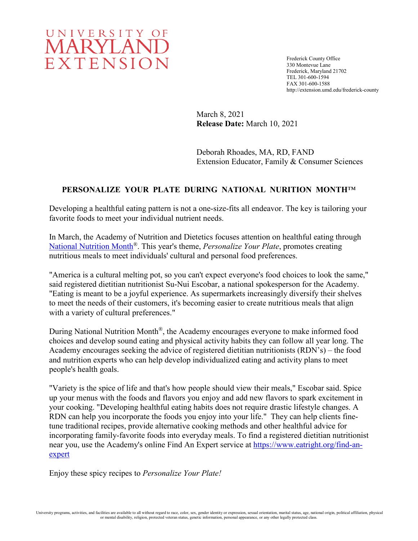# UNIVERSITY OF MARYLAND EXTENSION

Frederick County Office 330 Montevue Lane Frederick, Maryland 21702 TEL 301-600-1594 FAX 301-600-1588 http://extension.umd.edu/frederick-county

March 8, 2021 **Release Date:** March 10, 2021

Deborah Rhoades, MA, RD, FAND Extension Educator, Family & Consumer Sciences

# **PERSONALIZE YOUR PLATE DURING NATIONAL NURITION MONTH**™

Developing a healthful eating pattern is not a one-size-fits all endeavor. The key is tailoring your favorite foods to meet your individual nutrient needs.

In March, the Academy of Nutrition and Dietetics focuses attention on healthful eating through [National Nutrition Month](https://www.eatright.org/food/resources/national-nutrition-month)®. This year's theme, *Personalize Your Plate*, promotes creating nutritious meals to meet individuals' cultural and personal food preferences.

"America is a cultural melting pot, so you can't expect everyone's food choices to look the same," said registered dietitian nutritionist Su-Nui Escobar, a national spokesperson for the Academy. "Eating is meant to be a joyful experience. As supermarkets increasingly diversify their shelves to meet the needs of their customers, it's becoming easier to create nutritious meals that align with a variety of cultural preferences."

During National Nutrition Month<sup>®</sup>, the Academy encourages everyone to make informed food choices and develop sound eating and physical activity habits they can follow all year long. The Academy encourages seeking the advice of registered dietitian nutritionists (RDN's) – the food and nutrition experts who can help develop individualized eating and activity plans to meet people's health goals.

"Variety is the spice of life and that's how people should view their meals," Escobar said. Spice up your menus with the foods and flavors you enjoy and add new flavors to spark excitement in your cooking. "Developing healthful eating habits does not require drastic lifestyle changes. A RDN can help you incorporate the foods you enjoy into your life." They can help clients finetune traditional recipes, provide alternative cooking methods and other healthful advice for incorporating family-favorite foods into everyday meals. To find a registered dietitian nutritionist near you, use the Academy's online Find An Expert service at [https://www.eatright.org/find-an](https://www.eatright.org/find-an-expert)[expert](https://www.eatright.org/find-an-expert)

Enjoy these spicy recipes to *Personalize Your Plate!*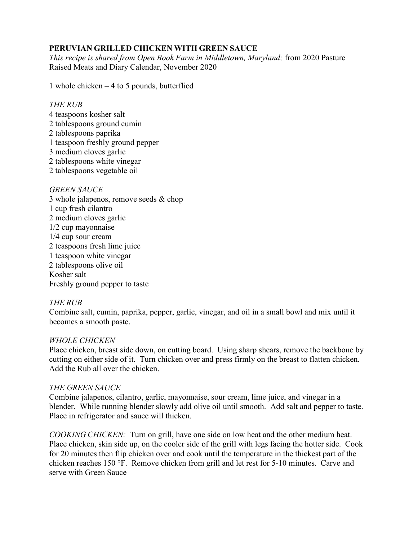# **PERUVIAN GRILLED CHICKEN WITH GREEN SAUCE**

*This recipe is shared from Open Book Farm in Middletown, Maryland;* from 2020 Pasture Raised Meats and Diary Calendar, November 2020

1 whole chicken – 4 to 5 pounds, butterflied

#### *THE RUB*

- 4 teaspoons kosher salt
- 2 tablespoons ground cumin
- 2 tablespoons paprika
- 1 teaspoon freshly ground pepper
- 3 medium cloves garlic
- 2 tablespoons white vinegar
- 2 tablespoons vegetable oil

# *GREEN SAUCE*

3 whole jalapenos, remove seeds & chop 1 cup fresh cilantro 2 medium cloves garlic 1/2 cup mayonnaise 1/4 cup sour cream 2 teaspoons fresh lime juice 1 teaspoon white vinegar 2 tablespoons olive oil Kosher salt Freshly ground pepper to taste

# *THE RUB*

Combine salt, cumin, paprika, pepper, garlic, vinegar, and oil in a small bowl and mix until it becomes a smooth paste.

# *WHOLE CHICKEN*

Place chicken, breast side down, on cutting board. Using sharp shears, remove the backbone by cutting on either side of it. Turn chicken over and press firmly on the breast to flatten chicken. Add the Rub all over the chicken.

# *THE GREEN SAUCE*

Combine jalapenos, cilantro, garlic, mayonnaise, sour cream, lime juice, and vinegar in a blender. While running blender slowly add olive oil until smooth. Add salt and pepper to taste. Place in refrigerator and sauce will thicken.

*COOKING CHICKEN:* Turn on grill, have one side on low heat and the other medium heat. Place chicken, skin side up, on the cooler side of the grill with legs facing the hotter side. Cook for 20 minutes then flip chicken over and cook until the temperature in the thickest part of the chicken reaches 150 °F. Remove chicken from grill and let rest for 5-10 minutes. Carve and serve with Green Sauce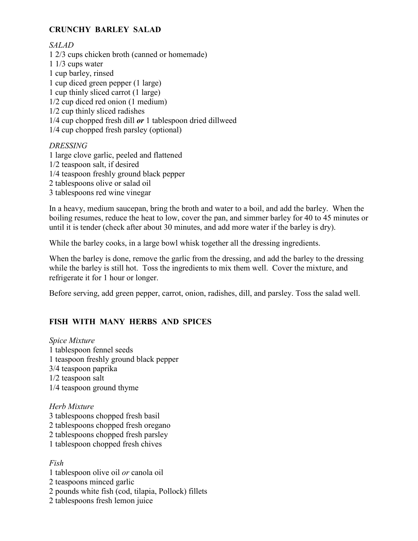# **CRUNCHY BARLEY SALAD**

## *SALAD*

1 2/3 cups chicken broth (canned or homemade) 1 1/3 cups water 1 cup barley, rinsed 1 cup diced green pepper (1 large) 1 cup thinly sliced carrot (1 large) 1/2 cup diced red onion (1 medium) 1/2 cup thinly sliced radishes 1/4 cup chopped fresh dill *or* 1 tablespoon dried dillweed 1/4 cup chopped fresh parsley (optional)

## *DRESSING*

1 large clove garlic, peeled and flattened 1/2 teaspoon salt, if desired 1/4 teaspoon freshly ground black pepper 2 tablespoons olive or salad oil 3 tablespoons red wine vinegar

In a heavy, medium saucepan, bring the broth and water to a boil, and add the barley. When the boiling resumes, reduce the heat to low, cover the pan, and simmer barley for 40 to 45 minutes or until it is tender (check after about 30 minutes, and add more water if the barley is dry).

While the barley cooks, in a large bowl whisk together all the dressing ingredients.

When the barley is done, remove the garlic from the dressing, and add the barley to the dressing while the barley is still hot. Toss the ingredients to mix them well. Cover the mixture, and refrigerate it for 1 hour or longer.

Before serving, add green pepper, carrot, onion, radishes, dill, and parsley. Toss the salad well.

# **FISH WITH MANY HERBS AND SPICES**

*Spice Mixture* 1 tablespoon fennel seeds 1 teaspoon freshly ground black pepper 3/4 teaspoon paprika 1/2 teaspoon salt 1/4 teaspoon ground thyme

*Herb Mixture* 3 tablespoons chopped fresh basil 2 tablespoons chopped fresh oregano 2 tablespoons chopped fresh parsley 1 tablespoon chopped fresh chives

#### *Fish*

1 tablespoon olive oil *or* canola oil 2 teaspoons minced garlic 2 pounds white fish (cod, tilapia, Pollock) fillets 2 tablespoons fresh lemon juice